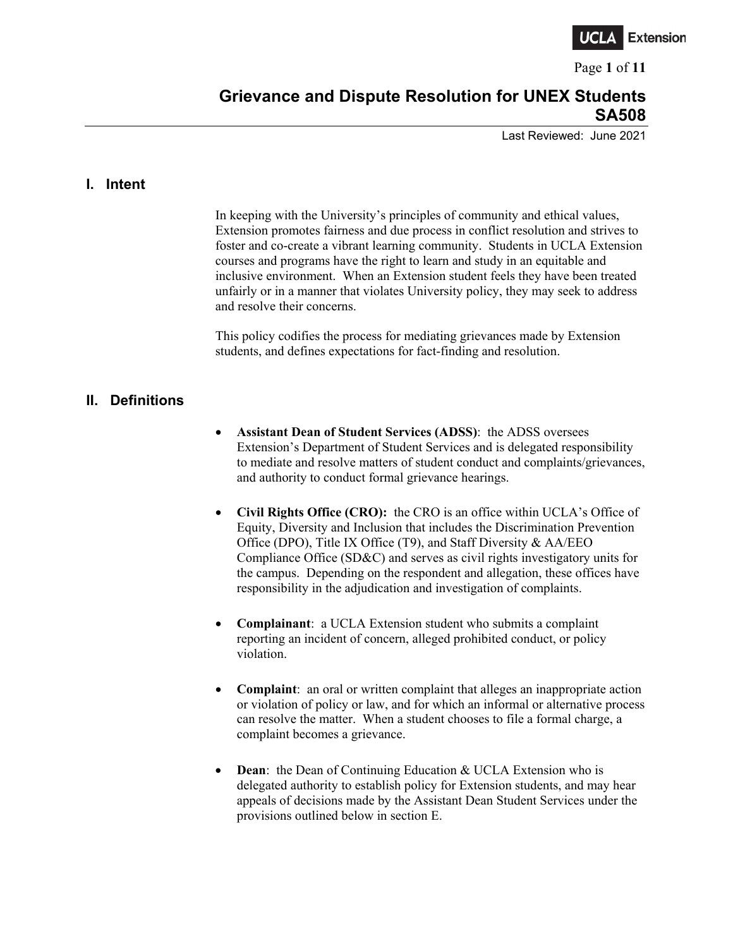

Page **1** of **11**

# **Grievance and Dispute Resolution for UNEX Students SA508**

Last Reviewed: June 2021

### **I. Intent**

In keeping with the University's principles of community and ethical values, Extension promotes fairness and due process in conflict resolution and strives to foster and co-create a vibrant learning community. Students in UCLA Extension courses and programs have the right to learn and study in an equitable and inclusive environment. When an Extension student feels they have been treated unfairly or in a manner that violates University policy, they may seek to address and resolve their concerns.

This policy codifies the process for mediating grievances made by Extension students, and defines expectations for fact-finding and resolution.

### **II. Definitions**

- **Assistant Dean of Student Services (ADSS)**: the ADSS oversees Extension's Department of Student Services and is delegated responsibility to mediate and resolve matters of student conduct and complaints/grievances, and authority to conduct formal grievance hearings.
- **Civil Rights Office (CRO):** the CRO is an office within UCLA's Office of Equity, Diversity and Inclusion that includes the Discrimination Prevention Office (DPO), Title IX Office (T9), and Staff Diversity & AA/EEO Compliance Office (SD&C) and serves as civil rights investigatory units for the campus. Depending on the respondent and allegation, these offices have responsibility in the adjudication and investigation of complaints.
- **Complainant**: a UCLA Extension student who submits a complaint reporting an incident of concern, alleged prohibited conduct, or policy violation.
- **Complaint:** an oral or written complaint that alleges an inappropriate action or violation of policy or law, and for which an informal or alternative process can resolve the matter. When a student chooses to file a formal charge, a complaint becomes a grievance.
- **Dean:** the Dean of Continuing Education & UCLA Extension who is delegated authority to establish policy for Extension students, and may hear appeals of decisions made by the Assistant Dean Student Services under the provisions outlined below in section E.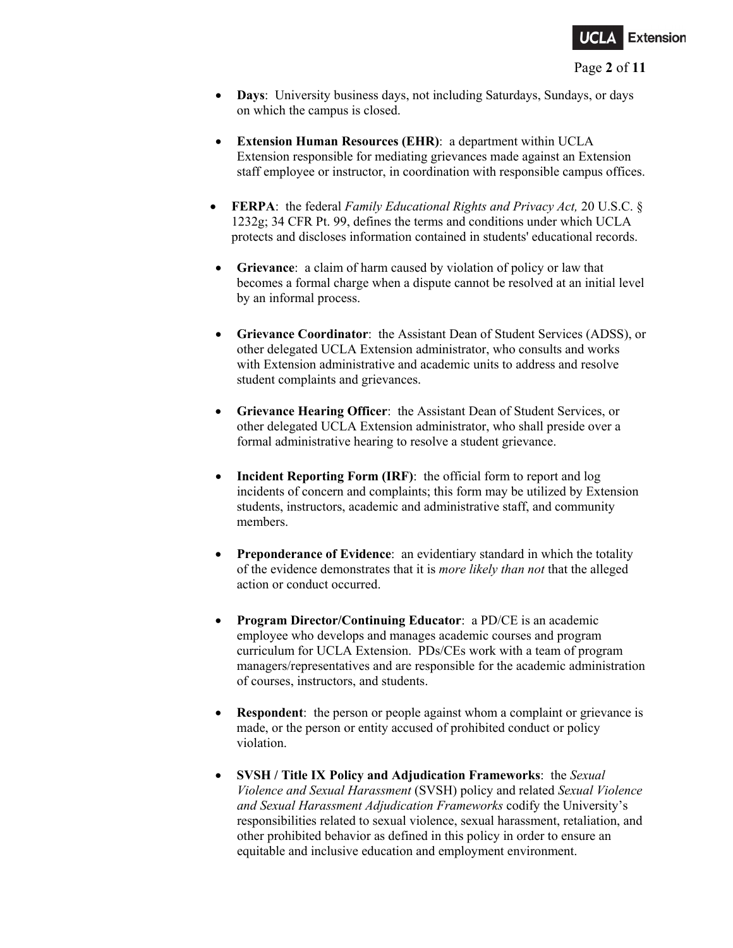

- **Days**: University business days, not including Saturdays, Sundays, or days on which the campus is closed.
- **Extension Human Resources (EHR)**: a department within UCLA Extension responsible for mediating grievances made against an Extension staff employee or instructor, in coordination with responsible campus offices.
- **FERPA**: the federal *Family Educational Rights and Privacy Act,* [20 U.S.C.](https://www.google.com/search?sxsrf=ALeKk03PHs_5QdnFE9ueenQENydXF9_pNA:1603749863619&q=20+U.S.C.&stick=H4sIAAAAAAAAAONgVuLSz9U3MLIwMzMsWMTKaWSgEKoXrOesBwBOkPs9GgAAAA&sa=X&ved=2ahUKEwiQtrfnodPsAhUJuZ4KHVKZD0AQmxMoATAgegQIIBAD) § 1232g; 34 CFR Pt. 99, defines the terms and conditions under which UCLA protects and discloses information contained in students' educational records.
- **Grievance**: a claim of harm caused by violation of policy or law that becomes a formal charge when a dispute cannot be resolved at an initial level by an informal process.
- **Grievance Coordinator**: the Assistant Dean of Student Services (ADSS), or other delegated UCLA Extension administrator, who consults and works with Extension administrative and academic units to address and resolve student complaints and grievances.
- **Grievance Hearing Officer**: the Assistant Dean of Student Services, or other delegated UCLA Extension administrator, who shall preside over a formal administrative hearing to resolve a student grievance.
- **Incident Reporting Form (IRF):** the official form to report and log incidents of concern and complaints; this form may be utilized by Extension students, instructors, academic and administrative staff, and community members.
- **Preponderance of Evidence**: an evidentiary standard in which the totality of the evidence demonstrates that it is *more likely than not* that the alleged action or conduct occurred.
- **Program Director/Continuing Educator**: a PD/CE is an academic employee who develops and manages academic courses and program curriculum for UCLA Extension. PDs/CEs work with a team of program managers/representatives and are responsible for the academic administration of courses, instructors, and students.
- **Respondent:** the person or people against whom a complaint or grievance is made, or the person or entity accused of prohibited conduct or policy violation.
- **SVSH / Title IX Policy and Adjudication Frameworks**: the *Sexual Violence and Sexual Harassment* (SVSH) policy and related *Sexual Violence and Sexual Harassment Adjudication Frameworks* codify the University's responsibilities related to sexual violence, sexual harassment, retaliation, and other prohibited behavior as defined in this policy in order to ensure an equitable and inclusive education and employment environment.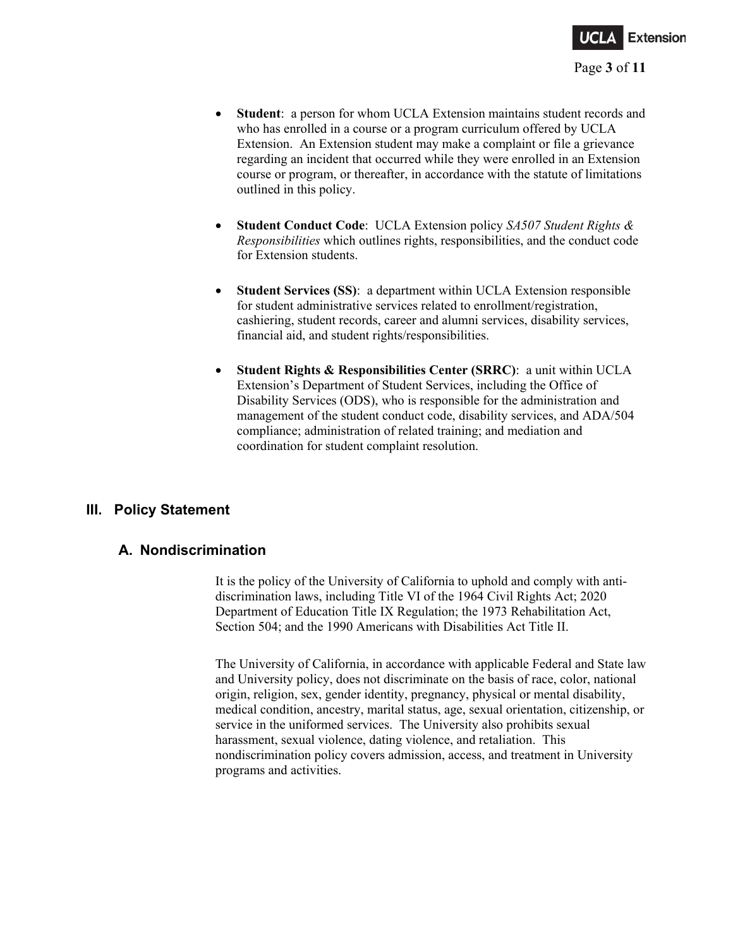

- **Student**: a person for whom UCLA Extension maintains student records and who has enrolled in a course or a program curriculum offered by UCLA Extension. An Extension student may make a complaint or file a grievance regarding an incident that occurred while they were enrolled in an Extension course or program, or thereafter, in accordance with the statute of limitations outlined in this policy.
- **Student Conduct Code**: UCLA Extension policy *SA507 Student Rights & Responsibilities* which outlines rights, responsibilities, and the conduct code for Extension students.
- **Student Services (SS)**: a department within UCLA Extension responsible for student administrative services related to enrollment/registration, cashiering, student records, career and alumni services, disability services, financial aid, and student rights/responsibilities.
- **Student Rights & Responsibilities Center (SRRC)**: a unit within UCLA Extension's Department of Student Services, including the Office of Disability Services (ODS), who is responsible for the administration and management of the student conduct code, disability services, and ADA/504 compliance; administration of related training; and mediation and coordination for student complaint resolution.

# **III. Policy Statement**

# **A. Nondiscrimination**

It is the policy of the University of California to uphold and comply with antidiscrimination laws, including Title VI of the 1964 Civil Rights Act; 2020 Department of Education Title IX Regulation; the 1973 Rehabilitation Act, Section 504; and the 1990 Americans with Disabilities Act Title II.

The University of California, in accordance with applicable Federal and State law and University policy, does not discriminate on the basis of race, color, national origin, religion, sex, gender identity, pregnancy, physical or mental disability, medical condition, ancestry, marital status, age, sexual orientation, citizenship, or service in the uniformed services. The University also prohibits sexual harassment, sexual violence, dating violence, and retaliation. This nondiscrimination policy covers admission, access, and treatment in University programs and activities.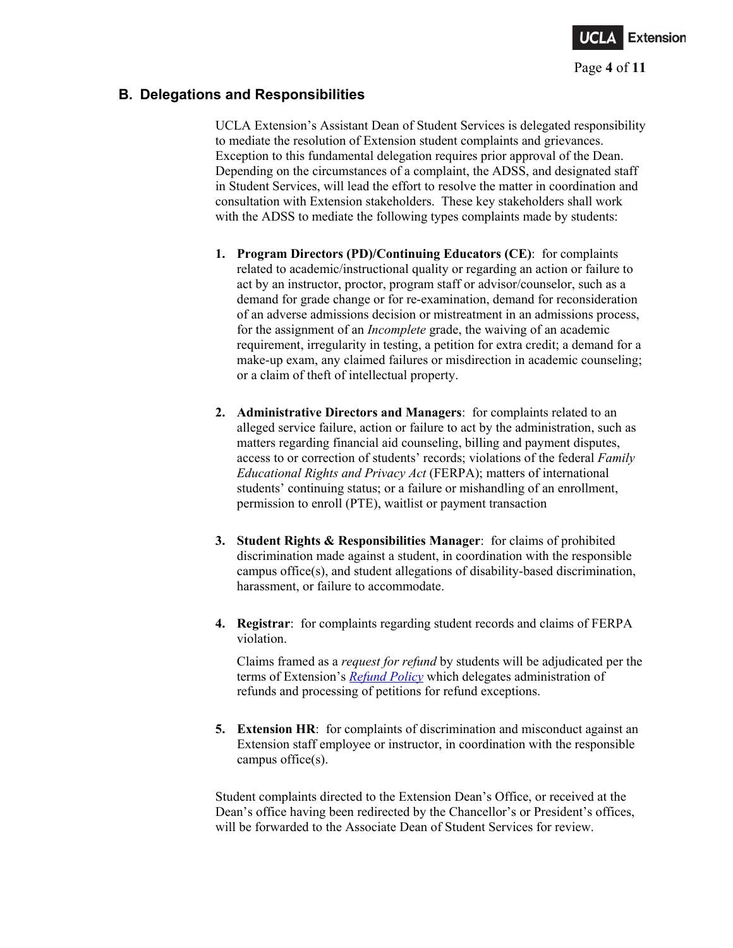

# **B. Delegations and Responsibilities**

UCLA Extension's Assistant Dean of Student Services is delegated responsibility to mediate the resolution of Extension student complaints and grievances. Exception to this fundamental delegation requires prior approval of the Dean. Depending on the circumstances of a complaint, the ADSS, and designated staff in Student Services, will lead the effort to resolve the matter in coordination and consultation with Extension stakeholders. These key stakeholders shall work with the ADSS to mediate the following types complaints made by students:

- **1. Program Directors (PD)/Continuing Educators (CE)**: for complaints related to academic/instructional quality or regarding an action or failure to act by an instructor, proctor, program staff or advisor/counselor, such as a demand for grade change or for re-examination, demand for reconsideration of an adverse admissions decision or mistreatment in an admissions process, for the assignment of an *Incomplete* grade, the waiving of an academic requirement, irregularity in testing, a petition for extra credit; a demand for a make-up exam, any claimed failures or misdirection in academic counseling; or a claim of theft of intellectual property.
- **2. Administrative Directors and Managers**: for complaints related to an alleged service failure, action or failure to act by the administration, such as matters regarding financial aid counseling, billing and payment disputes, access to or correction of students' records; violations of the federal *Family Educational Rights and Privacy Act* (FERPA); matters of international students' continuing status; or a failure or mishandling of an enrollment, permission to enroll (PTE), waitlist or payment transaction
- **3. Student Rights & Responsibilities Manager**: for claims of prohibited discrimination made against a student, in coordination with the responsible campus office(s), and student allegations of disability-based discrimination, harassment, or failure to accommodate.
- **4. Registrar**: for complaints regarding student records and claims of FERPA violation.

Claims framed as a *request for refund* by students will be adjudicated per the terms of Extension's *[Refund Policy](https://www.uclaextension.edu/sites/default/files/pdf/UCLA-Extension-Refund-Policy-SA500.pdf)* which delegates administration of refunds and processing of petitions for refund exceptions.

**5. Extension HR**: for complaints of discrimination and misconduct against an Extension staff employee or instructor, in coordination with the responsible campus office(s).

Student complaints directed to the Extension Dean's Office, or received at the Dean's office having been redirected by the Chancellor's or President's offices, will be forwarded to the Associate Dean of Student Services for review.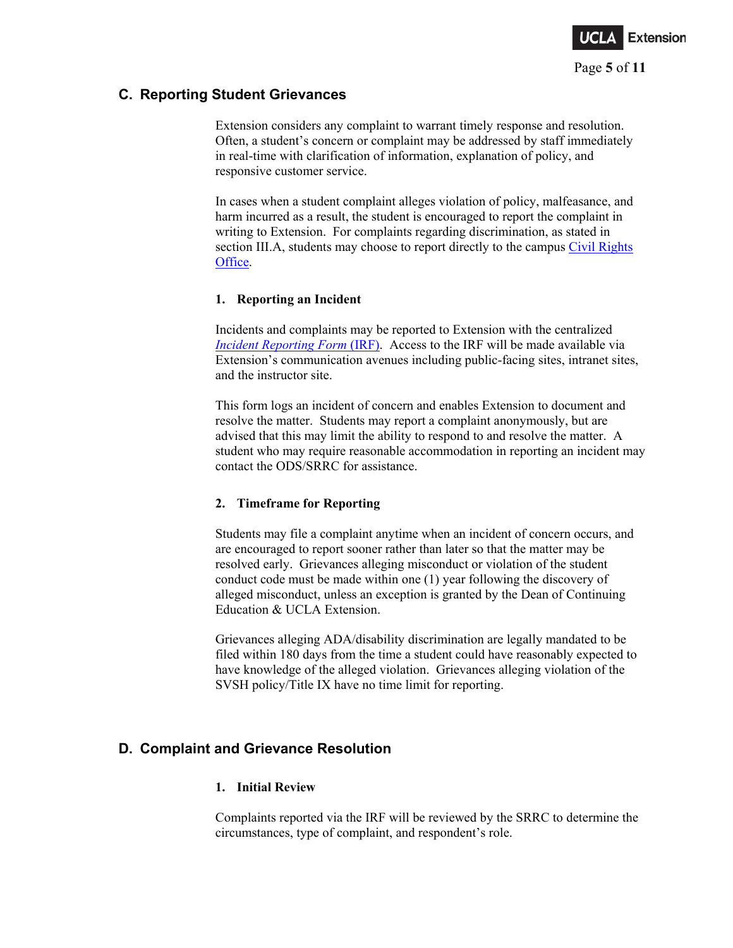

# **C. Reporting Student Grievances**

Extension considers any complaint to warrant timely response and resolution. Often, a student's concern or complaint may be addressed by staff immediately in real-time with clarification of information, explanation of policy, and responsive customer service.

In cases when a student complaint alleges violation of policy, malfeasance, and harm incurred as a result, the student is encouraged to report the complaint in writing to Extension. For complaints regarding discrimination, as stated in section III.A, students may choose to report directly to the campus [Civil Rights](https://equity.ucla.edu/our-edi-team/civil-rights-office/)  [Office.](https://equity.ucla.edu/our-edi-team/civil-rights-office/)

### **1. Reporting an Incident**

Incidents and complaints may be reported to Extension with the centralized *[Incident Reporting Form](https://incidentreporting.uclaextension.edu/Pages/IncidentForm?sec=)* (IRF). Access to the IRF will be made available via Extension's communication avenues including public-facing sites, intranet sites, and the instructor site.

This form logs an incident of concern and enables Extension to document and resolve the matter. Students may report a complaint anonymously, but are advised that this may limit the ability to respond to and resolve the matter. A student who may require reasonable accommodation in reporting an incident may contact the ODS/SRRC for assistance.

### **2. Timeframe for Reporting**

Students may file a complaint anytime when an incident of concern occurs, and are encouraged to report sooner rather than later so that the matter may be resolved early. Grievances alleging misconduct or violation of the student conduct code must be made within one (1) year following the discovery of alleged misconduct, unless an exception is granted by the Dean of Continuing Education & UCLA Extension.

Grievances alleging ADA/disability discrimination are legally mandated to be filed within 180 days from the time a student could have reasonably expected to have knowledge of the alleged violation. Grievances alleging violation of the SVSH policy/Title IX have no time limit for reporting.

# **D. Complaint and Grievance Resolution**

#### **1. Initial Review**

Complaints reported via the IRF will be reviewed by the SRRC to determine the circumstances, type of complaint, and respondent's role.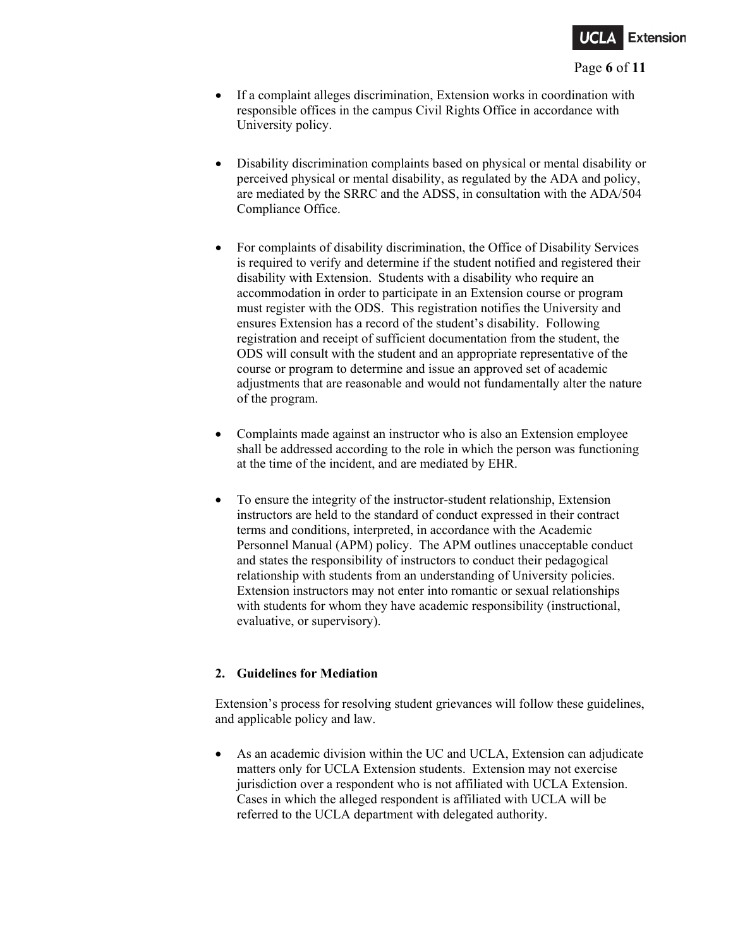

#### Page **6** of **11**

- If a complaint alleges discrimination, Extension works in coordination with responsible offices in the campus Civil Rights Office in accordance with University policy.
- Disability discrimination complaints based on physical or mental disability or perceived physical or mental disability, as regulated by the ADA and policy, are mediated by the SRRC and the ADSS, in consultation with the ADA/504 Compliance Office.
- For complaints of disability discrimination, the Office of Disability Services is required to verify and determine if the student notified and registered their disability with Extension. Students with a disability who require an accommodation in order to participate in an Extension course or program must register with the ODS. This registration notifies the University and ensures Extension has a record of the student's disability. Following registration and receipt of sufficient documentation from the student, the ODS will consult with the student and an appropriate representative of the course or program to determine and issue an approved set of academic adjustments that are reasonable and would not fundamentally alter the nature of the program.
- Complaints made against an instructor who is also an Extension employee shall be addressed according to the role in which the person was functioning at the time of the incident, and are mediated by EHR.
- To ensure the integrity of the instructor-student relationship, Extension instructors are held to the standard of conduct expressed in their contract terms and conditions, interpreted, in accordance with the Academic Personnel Manual (APM) policy. The APM outlines unacceptable conduct and states the responsibility of instructors to conduct their pedagogical relationship with students from an understanding of University policies. Extension instructors may not enter into romantic or sexual relationships with students for whom they have academic responsibility (instructional, evaluative, or supervisory).

### **2. Guidelines for Mediation**

Extension's process for resolving student grievances will follow these guidelines, and applicable policy and law.

• As an academic division within the UC and UCLA, Extension can adjudicate matters only for UCLA Extension students. Extension may not exercise jurisdiction over a respondent who is not affiliated with UCLA Extension. Cases in which the alleged respondent is affiliated with UCLA will be referred to the UCLA department with delegated authority.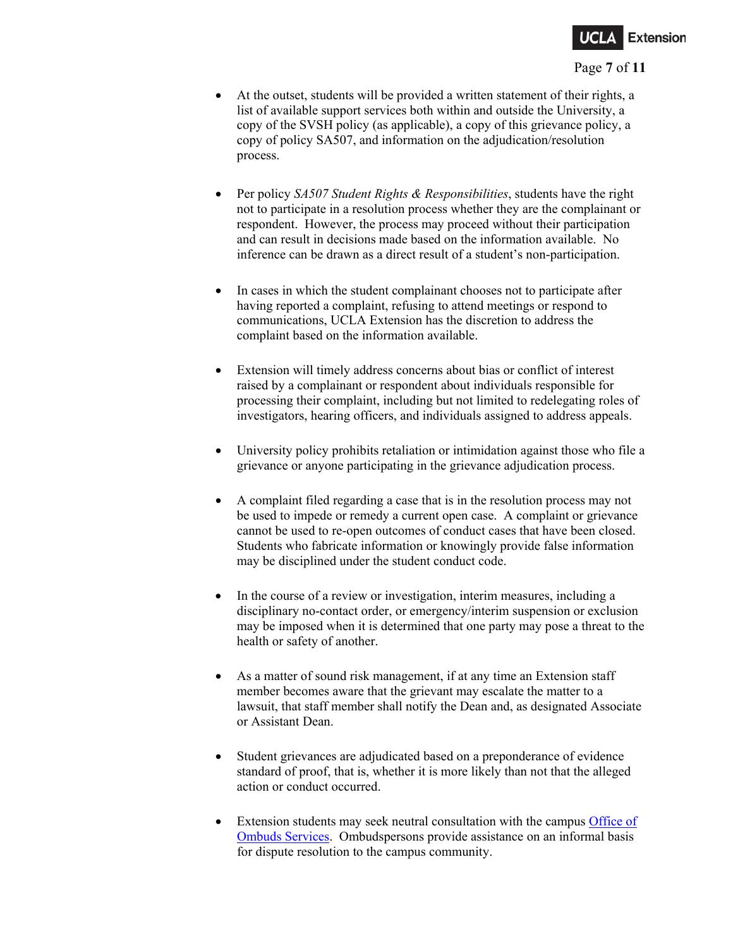

#### Page **7** of **11**

- At the outset, students will be provided a written statement of their rights, a list of available support services both within and outside the University, a copy of the SVSH policy (as applicable), a copy of this grievance policy, a copy of policy SA507, and information on the adjudication/resolution process.
- Per policy *SA507 Student Rights & Responsibilities*, students have the right not to participate in a resolution process whether they are the complainant or respondent. However, the process may proceed without their participation and can result in decisions made based on the information available. No inference can be drawn as a direct result of a student's non-participation.
- In cases in which the student complainant chooses not to participate after having reported a complaint, refusing to attend meetings or respond to communications, UCLA Extension has the discretion to address the complaint based on the information available.
- Extension will timely address concerns about bias or conflict of interest raised by a complainant or respondent about individuals responsible for processing their complaint, including but not limited to redelegating roles of investigators, hearing officers, and individuals assigned to address appeals.
- University policy prohibits retaliation or intimidation against those who file a grievance or anyone participating in the grievance adjudication process.
- A complaint filed regarding a case that is in the resolution process may not be used to impede or remedy a current open case. A complaint or grievance cannot be used to re-open outcomes of conduct cases that have been closed. Students who fabricate information or knowingly provide false information may be disciplined under the student conduct code.
- In the course of a review or investigation, interim measures, including a disciplinary no-contact order, or emergency/interim suspension or exclusion may be imposed when it is determined that one party may pose a threat to the health or safety of another.
- As a matter of sound risk management, if at any time an Extension staff member becomes aware that the grievant may escalate the matter to a lawsuit, that staff member shall notify the Dean and, as designated Associate or Assistant Dean.
- Student grievances are adjudicated based on a preponderance of evidence standard of proof, that is, whether it is more likely than not that the alleged action or conduct occurred.
- Extension students may seek neutral consultation with the campus Office of [Ombuds Services.](http://www.ombuds.ucla.edu/) Ombudspersons provide assistance on an informal basis for dispute resolution to the campus community.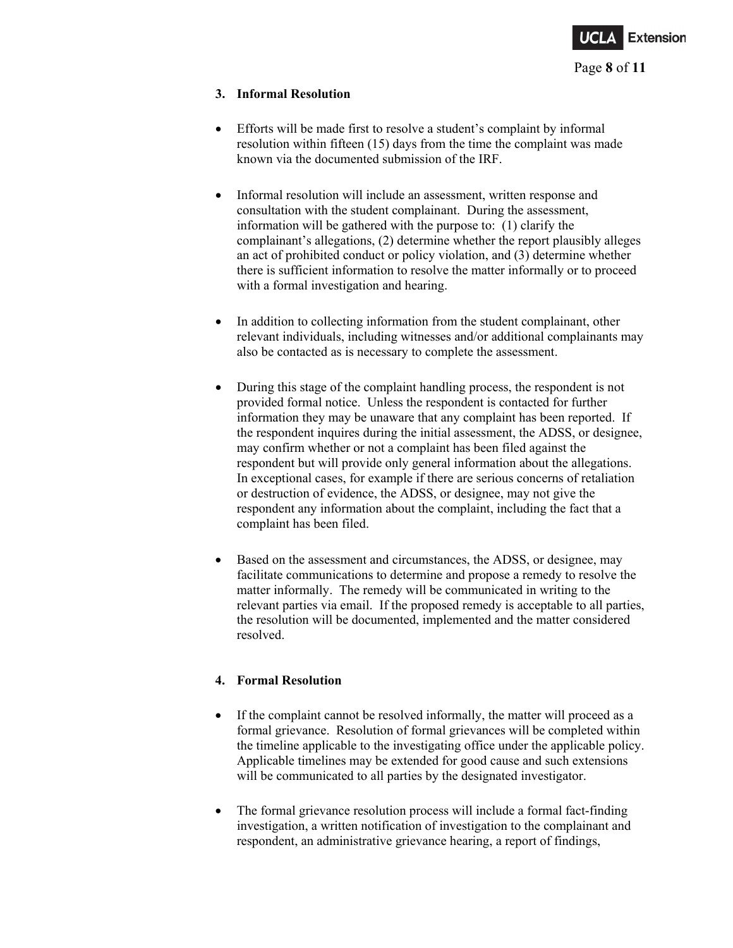

#### **3. Informal Resolution**

- Efforts will be made first to resolve a student's complaint by informal resolution within fifteen (15) days from the time the complaint was made known via the documented submission of the IRF.
- Informal resolution will include an assessment, written response and consultation with the student complainant. During the assessment, information will be gathered with the purpose to: (1) clarify the complainant's allegations, (2) determine whether the report plausibly alleges an act of prohibited conduct or policy violation, and (3) determine whether there is sufficient information to resolve the matter informally or to proceed with a formal investigation and hearing.
- In addition to collecting information from the student complainant, other relevant individuals, including witnesses and/or additional complainants may also be contacted as is necessary to complete the assessment.
- During this stage of the complaint handling process, the respondent is not provided formal notice. Unless the respondent is contacted for further information they may be unaware that any complaint has been reported. If the respondent inquires during the initial assessment, the ADSS, or designee, may confirm whether or not a complaint has been filed against the respondent but will provide only general information about the allegations. In exceptional cases, for example if there are serious concerns of retaliation or destruction of evidence, the ADSS, or designee, may not give the respondent any information about the complaint, including the fact that a complaint has been filed.
- Based on the assessment and circumstances, the ADSS, or designee, may facilitate communications to determine and propose a remedy to resolve the matter informally. The remedy will be communicated in writing to the relevant parties via email. If the proposed remedy is acceptable to all parties, the resolution will be documented, implemented and the matter considered resolved.

### **4. Formal Resolution**

- If the complaint cannot be resolved informally, the matter will proceed as a formal grievance. Resolution of formal grievances will be completed within the timeline applicable to the investigating office under the applicable policy. Applicable timelines may be extended for good cause and such extensions will be communicated to all parties by the designated investigator.
- The formal grievance resolution process will include a formal fact-finding investigation, a written notification of investigation to the complainant and respondent, an administrative grievance hearing, a report of findings,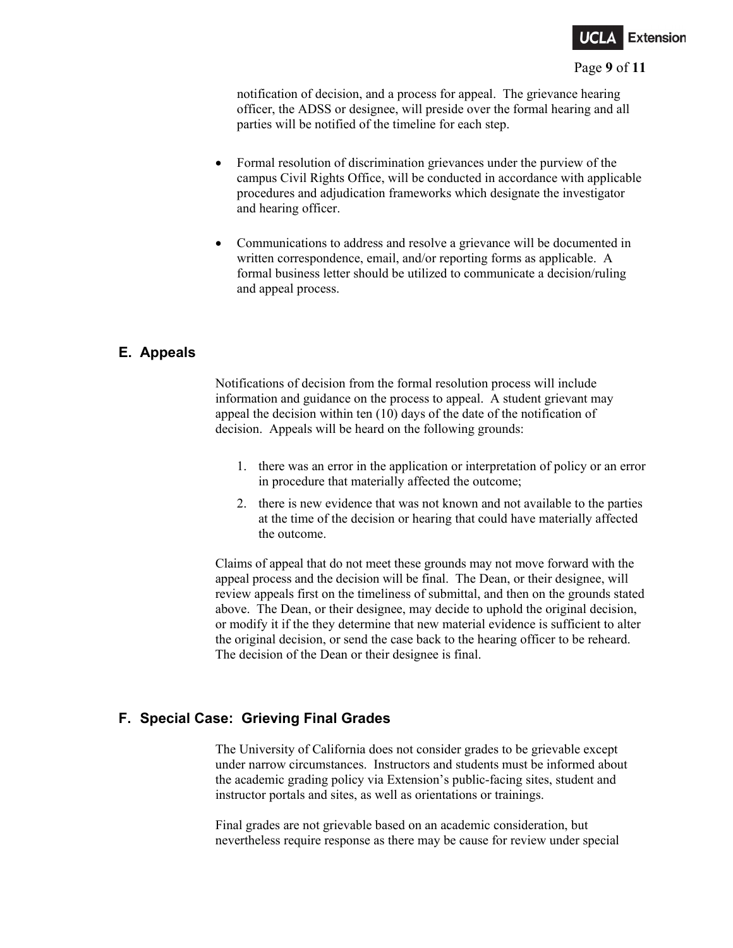

#### Page **9** of **11**

notification of decision, and a process for appeal. The grievance hearing officer, the ADSS or designee, will preside over the formal hearing and all parties will be notified of the timeline for each step.

- Formal resolution of discrimination grievances under the purview of the campus Civil Rights Office, will be conducted in accordance with applicable procedures and adjudication frameworks which designate the investigator and hearing officer.
- Communications to address and resolve a grievance will be documented in written correspondence, email, and/or reporting forms as applicable. A formal business letter should be utilized to communicate a decision/ruling and appeal process.

# **E. Appeals**

Notifications of decision from the formal resolution process will include information and guidance on the process to appeal. A student grievant may appeal the decision within ten (10) days of the date of the notification of decision. Appeals will be heard on the following grounds:

- 1. there was an error in the application or interpretation of policy or an error in procedure that materially affected the outcome;
- 2. there is new evidence that was not known and not available to the parties at the time of the decision or hearing that could have materially affected the outcome.

Claims of appeal that do not meet these grounds may not move forward with the appeal process and the decision will be final. The Dean, or their designee, will review appeals first on the timeliness of submittal, and then on the grounds stated above. The Dean, or their designee, may decide to uphold the original decision, or modify it if the they determine that new material evidence is sufficient to alter the original decision, or send the case back to the hearing officer to be reheard. The decision of the Dean or their designee is final.

# **F. Special Case: Grieving Final Grades**

The University of California does not consider grades to be grievable except under narrow circumstances. Instructors and students must be informed about the academic grading policy via Extension's public-facing sites, student and instructor portals and sites, as well as orientations or trainings.

Final grades are not grievable based on an academic consideration, but nevertheless require response as there may be cause for review under special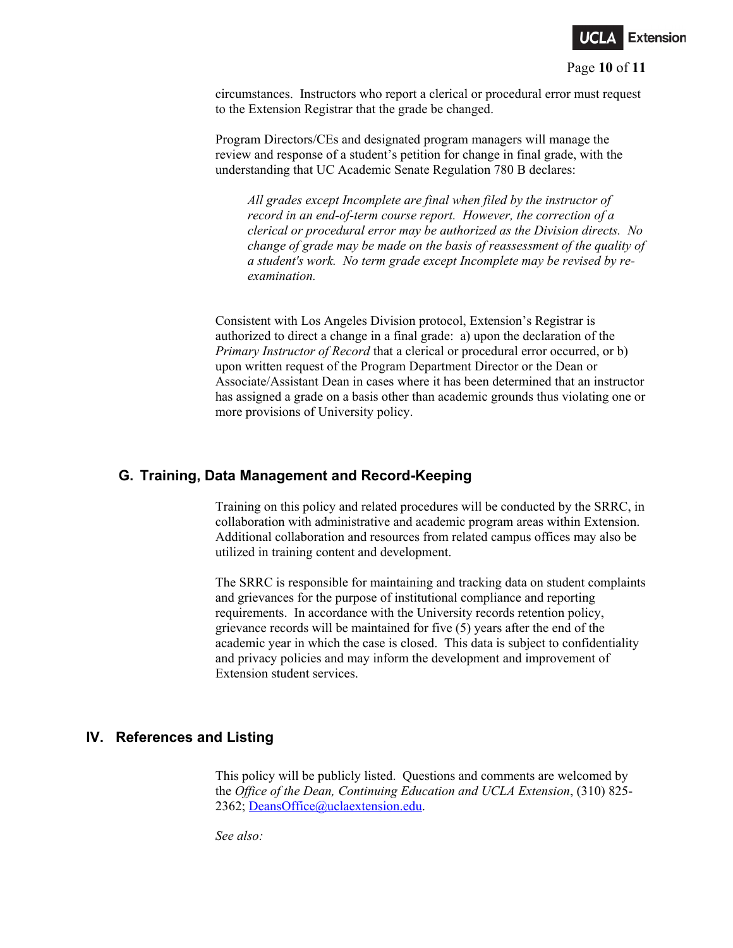

#### Page **10** of **11**

circumstances. Instructors who report a clerical or procedural error must request to the Extension Registrar that the grade be changed.

Program Directors/CEs and designated program managers will manage the review and response of a student's petition for change in final grade, with the understanding that UC Academic Senate Regulation 780 B declares:

*All grades except Incomplete are final when filed by the instructor of record in an end-of-term course report. However, the correction of a clerical or procedural error may be authorized as the Division directs. No change of grade may be made on the basis of reassessment of the quality of a student's work. No term grade except Incomplete may be revised by reexamination.*

Consistent with Los Angeles Division protocol, Extension's Registrar is authorized to direct a change in a final grade: a) upon the declaration of the *Primary Instructor of Record* that a clerical or procedural error occurred, or b) upon written request of the Program Department Director or the Dean or Associate/Assistant Dean in cases where it has been determined that an instructor has assigned a grade on a basis other than academic grounds thus violating one or more provisions of University policy.

### **G. Training, Data Management and Record-Keeping**

Training on this policy and related procedures will be conducted by the SRRC, in collaboration with administrative and academic program areas within Extension. Additional collaboration and resources from related campus offices may also be utilized in training content and development.

The SRRC is responsible for maintaining and tracking data on student complaints and grievances for the purpose of institutional compliance and reporting requirements. In accordance with the University records retention policy, grievance records will be maintained for five (5) years after the end of the academic year in which the case is closed. This data is subject to confidentiality and privacy policies and may inform the development and improvement of Extension student services.

### **IV. References and Listing**

This policy will be publicly listed. Questions and comments are welcomed by the *Office of the Dean, Continuing Education and UCLA Extension*, (310) 825- 2362; [DeansOffice@uclaextension.edu.](mailto:DeansOffice@uclaextension.edu)

*See also:*